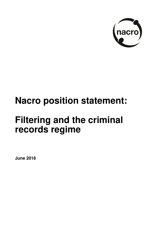

# **Nacro position statement:**

# **Filtering and the criminal records regime**

**June 2018**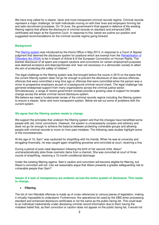We have long called for a clearer, fairer and more transparent criminal records regime. Criminal records represent a major challenge, for both individuals moving on with their lives and employers forming fair and safe recruitment processes. On 19 June, the government's final appeal in defence of the existing filtering regime that affects the disclosure of criminal records on standard and enhanced DBS certificates will begin at the Supreme Court. In response to this, below we outline our position and suggested recommendations for the criminal records regime going forward.

#### **Background**

The [filtering system](https://www.nacro.org.uk/wp-content/uploads/2014/06/practical-guidance-on-dbs-filtering.pdf) was introduced by the Home Office in May 2013, in response to a Court of Appeal judgment that deemed the disclosure system for positions which are exempt from the [Rehabilitation of](https://www.nacro.org.uk/resettlement-advice-service/support-for-individuals/disclosing-criminal-records/rehabilitation-offenders-act/)  [Offenders Act \(ROA\)](https://www.nacro.org.uk/resettlement-advice-service/support-for-individuals/disclosing-criminal-records/rehabilitation-offenders-act/) to be in breach of Article 8 of the European Convention on Human Rights. The blanket disclosure of all spent and unspent cautions and convictions for certain employment purposes was deemed excessive and disproportionate and *"was not necessary in a democratic society to attain the aim of protecting the safety of children".*

The legal challenge to the filtering system was first brought before the courts in 2015 on the basis that the current filtering system does not go far enough to prevent the disclosure of less serious offences, offences that were committed a long time ago or offences that were committed when the person was a minor to prospective employers as part of a background criminal record check. The legal challenge has garnered widespread support from many organisations across the criminal justice sector. Simultaneously, a range of recent government reviews provide a growing case of support for broader

change across the whole criminal record disclosure system. We believe we need a fundamental review of the criminal records regime including the filtering system

to ensure a clearer, fairer and more transparent system. Below we set out some of problems with the current system.

## **We agree that the filtering system needs to change**

We support the principles that underpin the filtering system and that the changes have benefitted some people with old, minor convictions. However, the system is unnecessarily complex and arbitrary and does not go far enough to achieve the balance between protecting vulnerable groups and allowing people with criminal records to move on from past mistakes. The following case studies highlight some of the inconsistencies:

At the age of 15, Sam\* was cautioned for shoplifting with his friends. When he was at university and struggling financially, he was caught again shoplifting groceries and convicted at court, receiving a fine.

During a period of post-natal depression following the birth of her second child, Alison\* uncharacteristically stole three cosmetic items from a chemist. She was convicted at court of three counts of shoplifting, receiving a 12-month conditional discharge.

Under the existing filtering regime, Sam's caution and conviction will become eligible for filtering, but Alison's conviction will not. Can we reasonably argue that Alison presents a greater safeguarding risk to vulnerable people than Sam?

**Issues of a lack of transparency are endemic across the entire system of disclosure. This needs to change.** 

#### **Filtering**

The list of non-filterable offences is made up of cross-references to various pieces of legislation, making it virtually impossible to understand. Furthermore, the operational list used by the DBS when processing standard and enhanced disclosure certificates is not the same as the public-facing list. This could lead to an individual inadvertently under-disclosing criminal record information due to them having the mistaken belief that, as their conviction or caution does not appear on the public facing list, it would not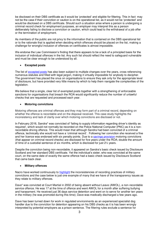be disclosed on their DBS certificate as it would be 'protected' and eligible for filtering. This in fact may not be the case if their conviction or caution is on the operational list, as it would not be 'protected' and would be disclosed on a DBS certificate. Should such a situation arise where a person is undergoing a criminal record check for employment purposes, an employer may interpret this as a person deliberately failing to disclose a conviction or caution, which could lead to the withdrawal of a job offer or the termination of employment.

As members of the public are not privy to the information that is contained on the DBS operational list or to the rationale that is applied when deciding which offences should be placed on the list, making a challenge for wrongful inclusion of offences on certificates is almost impossible.

We endorse the Law Commission's finding that there appears to be a lack of a principled basis for the inclusion of individual offences in the list. Any such list should reflect the need to safeguard vulnerable and must be clear enough to be understood by all.

# **Excepted posts**

The list of [excepted posts](http://www.legislation.gov.uk/uksi/1975/1023/schedule/1/made) has also been subject to multiple changes over the years, cross referencing numerous statutes and filled with legal jargon, making it virtually impossible for anybody to decipher. The government has placed the onus on organisations to ensure they ask only for the appropriate level of disclosure, but have provided very little means by which to help them navigate the complexities of the legislation.

We believe that a single, clear list of exempted posts together with a strengthening of enforceable sanctions for organisations that breach the ROA would significantly reduce the number of unlawful checks that are requested and processed each year.

# **Motoring convictions**

Motoring offences are criminal offences and they may form part of a criminal record, depending on whether the offence is recordable and on the disposal received. This case study highlights the inconsistency and lack of clarity over which motoring convictions are disclosed or not.

In February 2016, Sandra\* was convicted of 'failing to supply information regarding driver's identity as required', which would not normally be recorded on the Police National Computer (PNC) as it is a nonrecordable driving offence. This would mean that although Sandra had been convicted of a criminal offence, technically she would not have a 'criminal record'. Following her conviction she received a fine and her licence was endorsed with six penalty points. Due to a [savings provision](https://www.nacro.org.uk/news/press-releases/driving-offence-clause-will-cause-chaos/) motoring convictions (that appear on criminal record checks) are disclosed for five years under the ROA; double the amount of time of a custodial sentence of six months, which is disclosed for just 2½ years.

Despite the conviction being non-recordable, it appeared on Sandra's basic check issued by Disclosure Scotland and her standard DBS certificate. Yet the individual's sister, who was convicted at the same court, on the same date of exactly the same offence had a basic check issued by Disclosure Scotland that came back clear.

#### **Military offences**

Nacro have worked continuously to [highlight](https://3bx16p38bchl32s0e12di03h-wpengine.netdna-ssl.com/wp-content/uploads/2013/01/nacro-briefing-on-military-convictions-and-criminal-records.pdf) the inconsistencies of recording practices of military convictions and the case below is just one example of many that we have of the transparency issues as they relate to military offences.

Dave\* was convicted at Court Martial in 2002 of being absent without Leave (AWOL), a non-recordable service offence. He was 17 at the time of offence and went AWOL for a month after suffering bullying and harassment. He received just 36 days service detention and went on to serve for another ten years in the military (he was promoted during this time); Dave was medically discharged a few years ago.

Dave has been turned down for work in regulated environments as an experienced specialist dog handler due to the conviction for detention appearing on his DBS checks as it is has been wrongly interpreted by potential employers as a prison sentence. The filtering rules exclude a sentence for